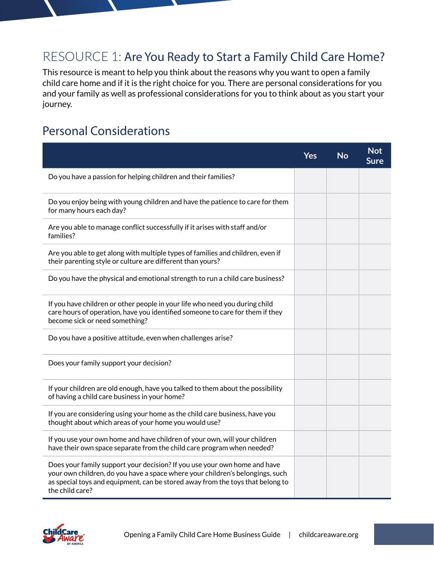## RESOURCE 1: Are You Ready to Start a Family Child Care Home?

This resource is meant to help you think about the reasons why you want to open a family child care home and if it is the right choice for you. There are personal considerations for you and your family as well as professional considerations for you to think about as you start your journey.

## Personal Considerations

|                                                                                                                                                                                                                                                                 | <b>Yes</b> | <b>No</b> | <b>Not</b><br>Sure |
|-----------------------------------------------------------------------------------------------------------------------------------------------------------------------------------------------------------------------------------------------------------------|------------|-----------|--------------------|
| Do you have a passion for helping children and their families?                                                                                                                                                                                                  |            |           |                    |
| Do you enjoy being with young children and have the patience to care for them<br>for many hours each day?                                                                                                                                                       |            |           |                    |
| Are you able to manage conflict successfully if it arises with staff and/or<br>families?                                                                                                                                                                        |            |           |                    |
| Are you able to get along with multiple types of families and children, even if<br>their parenting style or culture are different than yours?                                                                                                                   |            |           |                    |
| Do you have the physical and emotional strength to run a child care business?                                                                                                                                                                                   |            |           |                    |
| If you have children or other people in your life who need you during child<br>care hours of operation, have you identified someone to care for them if they<br>become sick or need something?                                                                  |            |           |                    |
| Do you have a positive attitude, even when challenges arise?                                                                                                                                                                                                    |            |           |                    |
| Does your family support your decision?                                                                                                                                                                                                                         |            |           |                    |
| If your children are old enough, have you talked to them about the possibility<br>of having a child care business in your home?                                                                                                                                 |            |           |                    |
| If you are considering using your home as the child care business, have you<br>thought about which areas of your home you would use?                                                                                                                            |            |           |                    |
| If you use your own home and have children of your own, will your children<br>have their own space separate from the child care program when needed?                                                                                                            |            |           |                    |
| Does your family support your decision? If you use your own home and have<br>your own children, do you have a space where your children's belongings, such<br>as special toys and equipment, can be stored away from the toys that belong to<br>the child care? |            |           |                    |